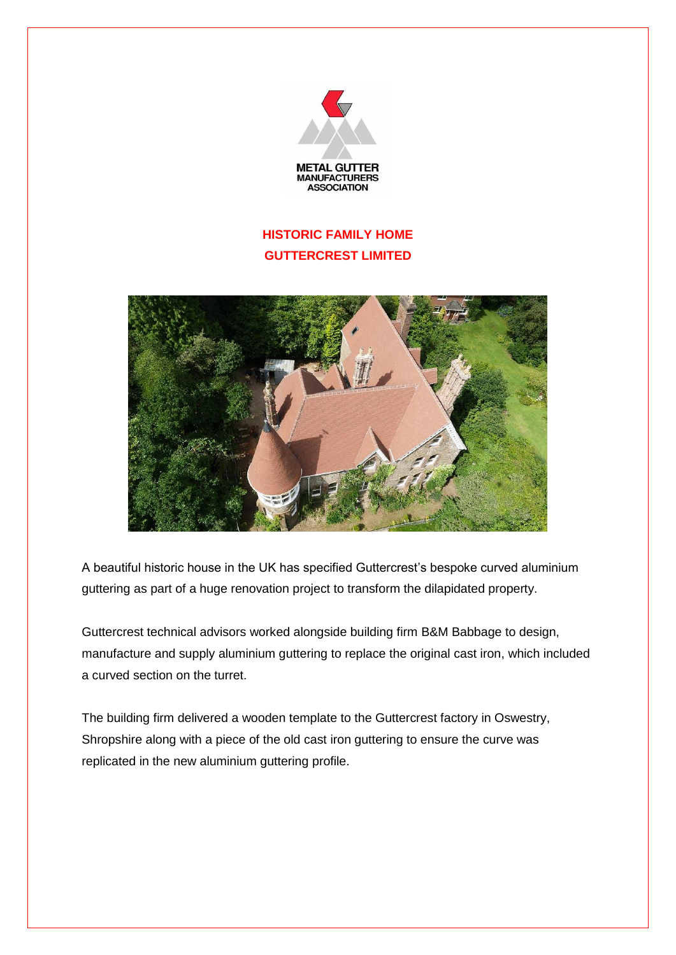

## **HISTORIC FAMILY HOME GUTTERCREST LIMITED**



A beautiful historic house in the UK has specified Guttercrest's bespoke curved aluminium guttering as part of a huge renovation project to transform the dilapidated property.

Guttercrest technical advisors worked alongside building firm B&M Babbage to design, manufacture and supply aluminium guttering to replace the original cast iron, which included a curved section on the turret.

The building firm delivered a wooden template to the Guttercrest factory in Oswestry, Shropshire along with a piece of the old cast iron guttering to ensure the curve was replicated in the new aluminium guttering profile.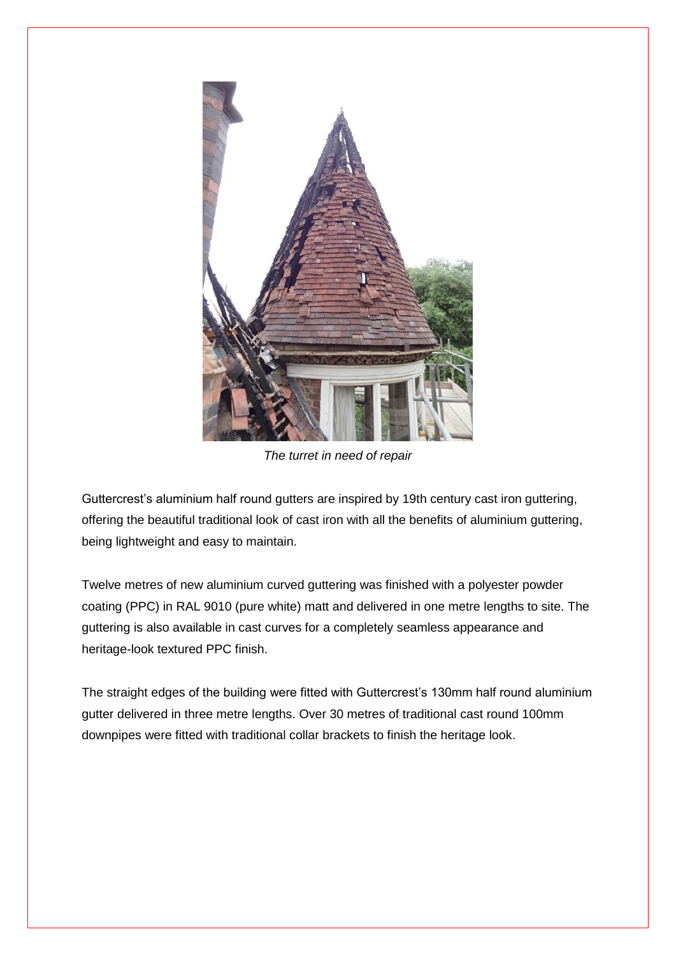

*The turret in need of repair*

Guttercrest's aluminium half round gutters are inspired by 19th century cast iron guttering, offering the beautiful traditional look of cast iron with all the benefits of aluminium guttering, being lightweight and easy to maintain.

Twelve metres of new aluminium curved guttering was finished with a polyester powder coating (PPC) in RAL 9010 (pure white) matt and delivered in one metre lengths to site. The guttering is also available in cast curves for a completely seamless appearance and heritage-look textured PPC finish.

The straight edges of the building were fitted with Guttercrest's 130mm half round aluminium gutter delivered in three metre lengths. Over 30 metres of traditional cast round 100mm downpipes were fitted with traditional collar brackets to finish the heritage look.